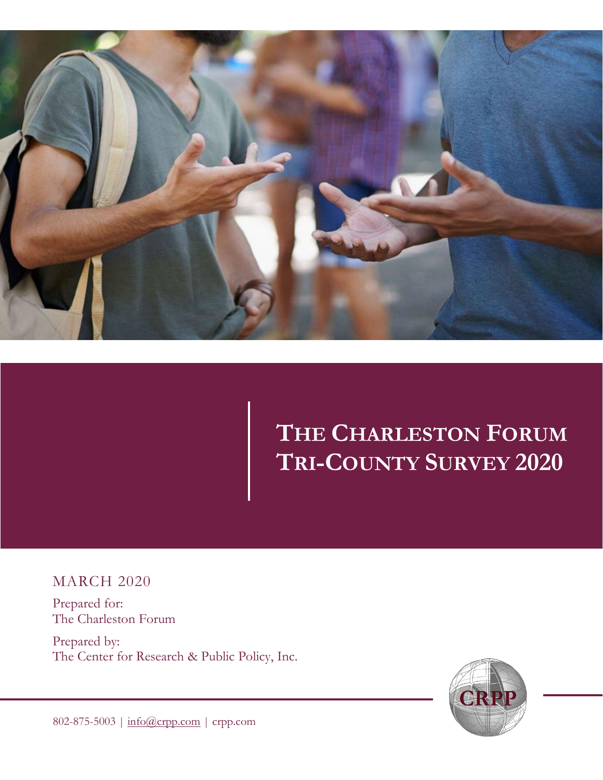

**STATEMENT OF CONFIDENTIALITY AND OWNERSHIP**

## **THE CHARLESTON FORUM TRI-COUNTY SURVEY 2020**

MARCH 2020

Prepared for: The Charleston Forum

Prepared by: The Center for Research & Public Policy, Inc.



802-875-5003 | [info@crpp.com](mailto:info@crpp.com) | crpp.com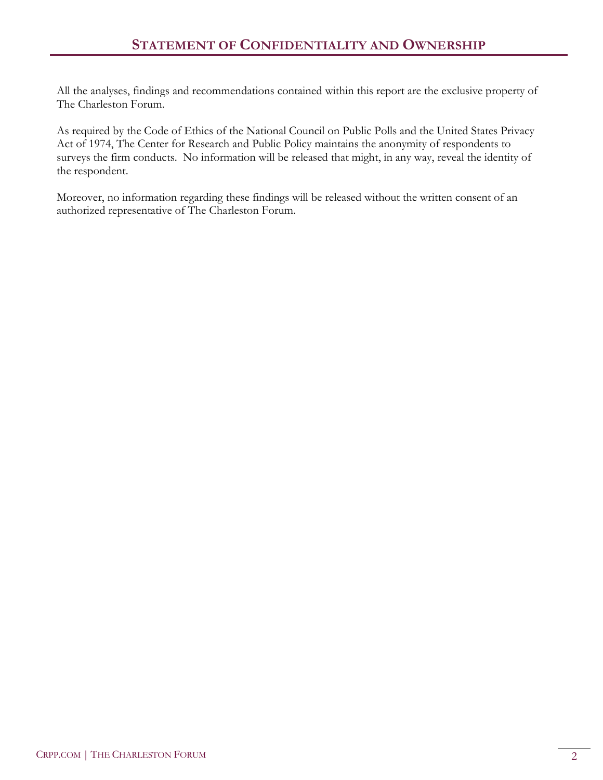All the analyses, findings and recommendations contained within this report are the exclusive property of The Charleston Forum.

As required by the Code of Ethics of the National Council on Public Polls and the United States Privacy Act of 1974, The Center for Research and Public Policy maintains the anonymity of respondents to surveys the firm conducts. No information will be released that might, in any way, reveal the identity of the respondent.

Moreover, no information regarding these findings will be released without the written consent of an authorized representative of The Charleston Forum.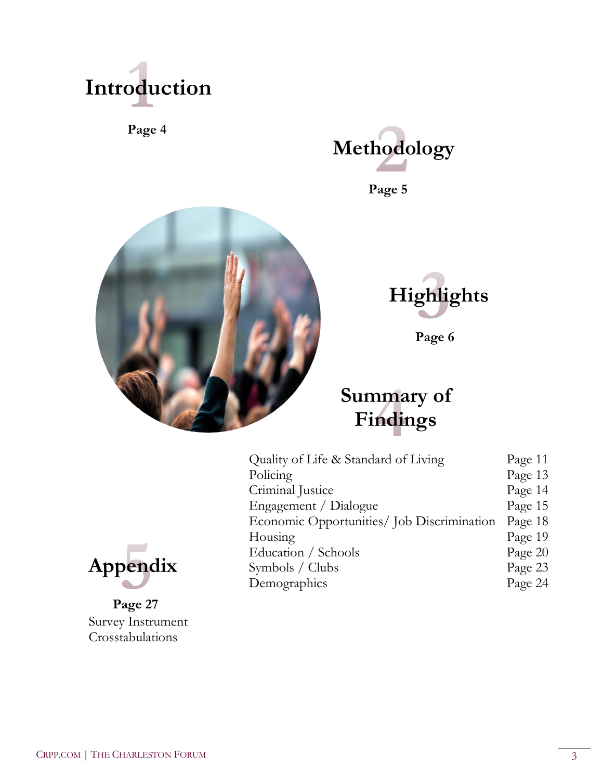

**Page 4**



**Page 5** 





**Page 6** 

## **Summary of Findings**

| Quality of Life & Standard of Living       | Page 11 |
|--------------------------------------------|---------|
| Policing                                   | Page 13 |
| Criminal Justice                           | Page 14 |
| Engagement / Dialogue                      | Page 15 |
| Economic Opportunities/ Job Discrimination | Page 18 |
| Housing                                    | Page 19 |
| Education / Schools                        | Page 20 |
| Symbols / Clubs                            | Page 23 |
| Demographics                               | Page 24 |



**Page 27** Survey Instrument Crosstabulations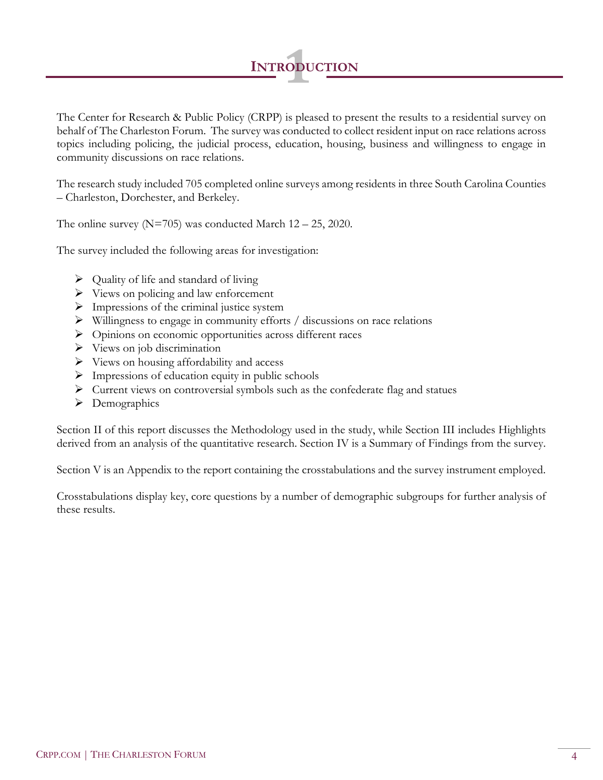

The Center for Research & Public Policy (CRPP) is pleased to present the results to a residential survey on behalf of The Charleston Forum. The survey was conducted to collect resident input on race relations across topics including policing, the judicial process, education, housing, business and willingness to engage in community discussions on race relations.

The research study included 705 completed online surveys among residents in three South Carolina Counties – Charleston, Dorchester, and Berkeley.

The online survey ( $N=705$ ) was conducted March  $12 - 25$ , 2020.

The survey included the following areas for investigation:

- $\triangleright$  Quality of life and standard of living
- ➢ Views on policing and law enforcement
- ➢ Impressions of the criminal justice system
- ➢ Willingness to engage in community efforts / discussions on race relations
- ➢ Opinions on economic opportunities across different races
- $\triangleright$  Views on job discrimination
- ➢ Views on housing affordability and access
- $\triangleright$  Impressions of education equity in public schools
- ➢ Current views on controversial symbols such as the confederate flag and statues
- ➢ Demographics

Section II of this report discusses the Methodology used in the study, while Section III includes Highlights derived from an analysis of the quantitative research. Section IV is a Summary of Findings from the survey.

Section V is an Appendix to the report containing the crosstabulations and the survey instrument employed.

Crosstabulations display key, core questions by a number of demographic subgroups for further analysis of these results.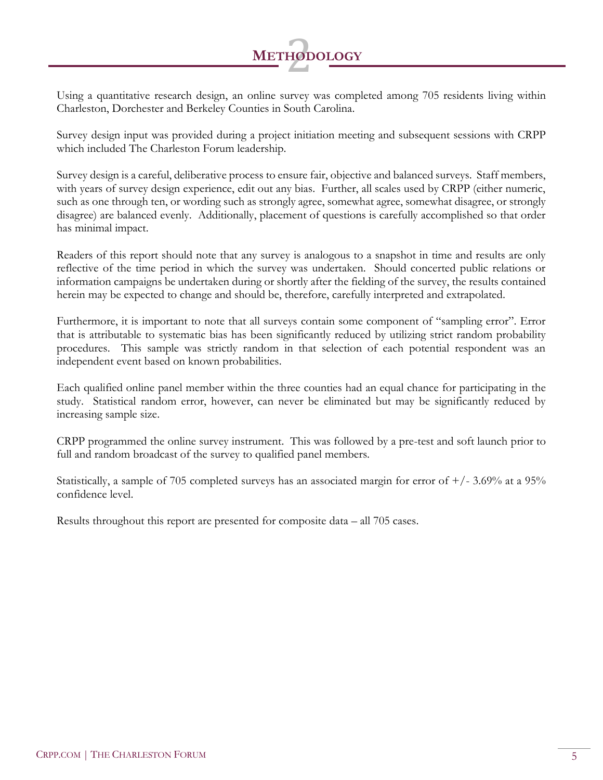# **<sup>M</sup>ETHODOLOGY** 2

Using a quantitative research design, an online survey was completed among 705 residents living within Charleston, Dorchester and Berkeley Counties in South Carolina.

Survey design input was provided during a project initiation meeting and subsequent sessions with CRPP which included The Charleston Forum leadership.

Survey design is a careful, deliberative process to ensure fair, objective and balanced surveys. Staff members, with years of survey design experience, edit out any bias. Further, all scales used by CRPP (either numeric, such as one through ten, or wording such as strongly agree, somewhat agree, somewhat disagree, or strongly disagree) are balanced evenly. Additionally, placement of questions is carefully accomplished so that order has minimal impact.

Readers of this report should note that any survey is analogous to a snapshot in time and results are only reflective of the time period in which the survey was undertaken. Should concerted public relations or information campaigns be undertaken during or shortly after the fielding of the survey, the results contained herein may be expected to change and should be, therefore, carefully interpreted and extrapolated.

Furthermore, it is important to note that all surveys contain some component of "sampling error". Error that is attributable to systematic bias has been significantly reduced by utilizing strict random probability procedures. This sample was strictly random in that selection of each potential respondent was an independent event based on known probabilities.

Each qualified online panel member within the three counties had an equal chance for participating in the study. Statistical random error, however, can never be eliminated but may be significantly reduced by increasing sample size.

CRPP programmed the online survey instrument. This was followed by a pre-test and soft launch prior to full and random broadcast of the survey to qualified panel members.

Statistically, a sample of 705 completed surveys has an associated margin for error of  $+/- 3.69\%$  at a 95% confidence level.

Results throughout this report are presented for composite data – all 705 cases.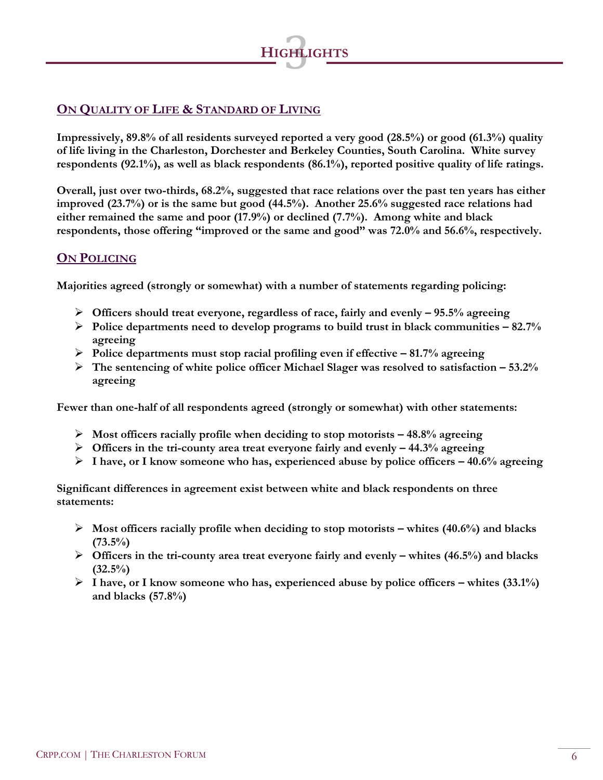

## **ON QUALITY OF LIFE & STANDARD OF LIVING**

**Impressively, 89.8% of all residents surveyed reported a very good (28.5%) or good (61.3%) quality of life living in the Charleston, Dorchester and Berkeley Counties, South Carolina. White survey respondents (92.1%), as well as black respondents (86.1%), reported positive quality of life ratings.**

**Overall, just over two-thirds, 68.2%, suggested that race relations over the past ten years has either improved (23.7%) or is the same but good (44.5%). Another 25.6% suggested race relations had either remained the same and poor (17.9%) or declined (7.7%). Among white and black respondents, those offering "improved or the same and good" was 72.0% and 56.6%, respectively.**

#### **ON POLICING**

**Majorities agreed (strongly or somewhat) with a number of statements regarding policing:**

- ➢ **Officers should treat everyone, regardless of race, fairly and evenly – 95.5% agreeing**
- ➢ **Police departments need to develop programs to build trust in black communities – 82.7% agreeing**
- ➢ **Police departments must stop racial profiling even if effective – 81.7% agreeing**
- ➢ **The sentencing of white police officer Michael Slager was resolved to satisfaction – 53.2% agreeing**

**Fewer than one-half of all respondents agreed (strongly or somewhat) with other statements:**

- ➢ **Most officers racially profile when deciding to stop motorists – 48.8% agreeing**
- ➢ **Officers in the tri-county area treat everyone fairly and evenly – 44.3% agreeing**
- ➢ **I have, or I know someone who has, experienced abuse by police officers – 40.6% agreeing**

**Significant differences in agreement exist between white and black respondents on three statements:**

- ➢ **Most officers racially profile when deciding to stop motorists – whites (40.6%) and blacks (73.5%)**
- ➢ **Officers in the tri-county area treat everyone fairly and evenly – whites (46.5%) and blacks (32.5%)**
- ➢ **I have, or I know someone who has, experienced abuse by police officers – whites (33.1%) and blacks (57.8%)**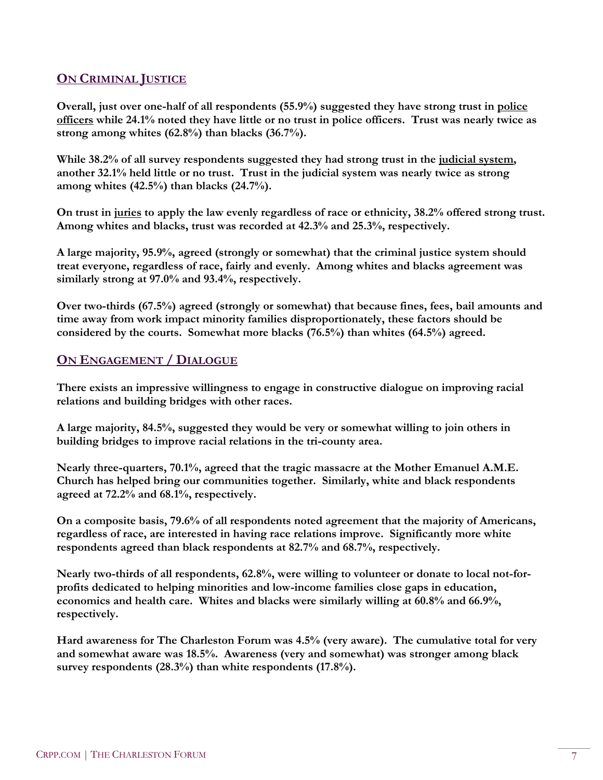#### **ON CRIMINAL JUSTICE**

**Overall, just over one-half of all respondents (55.9%) suggested they have strong trust in police officers while 24.1% noted they have little or no trust in police officers. Trust was nearly twice as strong among whites (62.8%) than blacks (36.7%).**

**While 38.2% of all survey respondents suggested they had strong trust in the judicial system, another 32.1% held little or no trust. Trust in the judicial system was nearly twice as strong among whites (42.5%) than blacks (24.7%).** 

**On trust in juries to apply the law evenly regardless of race or ethnicity, 38.2% offered strong trust. Among whites and blacks, trust was recorded at 42.3% and 25.3%, respectively.**

**A large majority, 95.9%, agreed (strongly or somewhat) that the criminal justice system should treat everyone, regardless of race, fairly and evenly. Among whites and blacks agreement was similarly strong at 97.0% and 93.4%, respectively.**

**Over two-thirds (67.5%) agreed (strongly or somewhat) that because fines, fees, bail amounts and time away from work impact minority families disproportionately, these factors should be considered by the courts. Somewhat more blacks (76.5%) than whites (64.5%) agreed.**

### **ON ENGAGEMENT / DIALOGUE**

**There exists an impressive willingness to engage in constructive dialogue on improving racial relations and building bridges with other races.**

**A large majority, 84.5%, suggested they would be very or somewhat willing to join others in building bridges to improve racial relations in the tri-county area.**

**Nearly three-quarters, 70.1%, agreed that the tragic massacre at the Mother Emanuel A.M.E. Church has helped bring our communities together. Similarly, white and black respondents agreed at 72.2% and 68.1%, respectively.**

**On a composite basis, 79.6% of all respondents noted agreement that the majority of Americans, regardless of race, are interested in having race relations improve. Significantly more white respondents agreed than black respondents at 82.7% and 68.7%, respectively.**

**Nearly two-thirds of all respondents, 62.8%, were willing to volunteer or donate to local not-forprofits dedicated to helping minorities and low-income families close gaps in education, economics and health care. Whites and blacks were similarly willing at 60.8% and 66.9%, respectively.** 

**Hard awareness for The Charleston Forum was 4.5% (very aware). The cumulative total for very and somewhat aware was 18.5%. Awareness (very and somewhat) was stronger among black survey respondents (28.3%) than white respondents (17.8%).**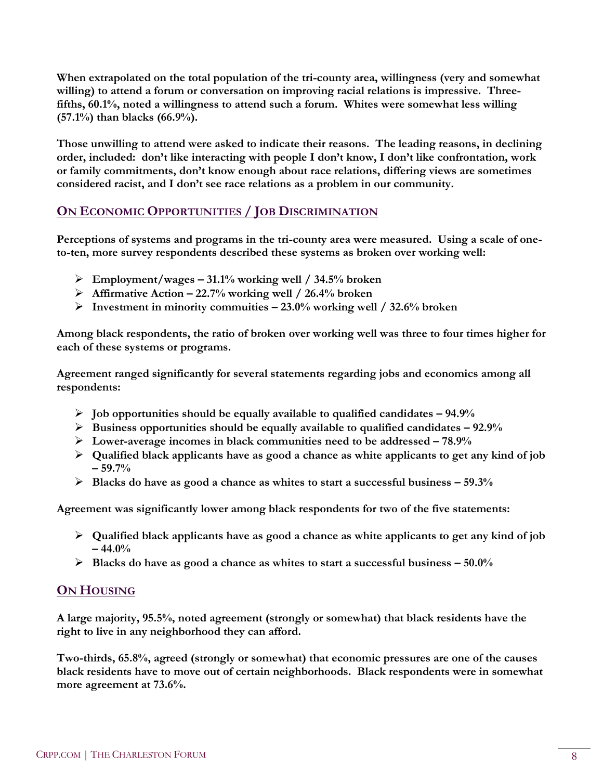**When extrapolated on the total population of the tri-county area, willingness (very and somewhat willing) to attend a forum or conversation on improving racial relations is impressive. Threefifths, 60.1%, noted a willingness to attend such a forum. Whites were somewhat less willing (57.1%) than blacks (66.9%).** 

**Those unwilling to attend were asked to indicate their reasons. The leading reasons, in declining order, included: don't like interacting with people I don't know, I don't like confrontation, work or family commitments, don't know enough about race relations, differing views are sometimes considered racist, and I don't see race relations as a problem in our community.** 

## **ON ECONOMIC OPPORTUNITIES / JOB DISCRIMINATION**

**Perceptions of systems and programs in the tri-county area were measured. Using a scale of oneto-ten, more survey respondents described these systems as broken over working well:**

- ➢ **Employment/wages – 31.1% working well / 34.5% broken**
- ➢ **Affirmative Action – 22.7% working well / 26.4% broken**
- ➢ **Investment in minority commuities – 23.0% working well / 32.6% broken**

**Among black respondents, the ratio of broken over working well was three to four times higher for each of these systems or programs.** 

**Agreement ranged significantly for several statements regarding jobs and economics among all respondents:**

- ➢ **Job opportunities should be equally available to qualified candidates – 94.9%**
- ➢ **Business opportunities should be equally available to qualified candidates – 92.9%**
- ➢ **Lower-average incomes in black communities need to be addressed – 78.9%**
- ➢ **Qualified black applicants have as good a chance as white applicants to get any kind of job – 59.7%**
- ➢ **Blacks do have as good a chance as whites to start a successful business – 59.3%**

**Agreement was significantly lower among black respondents for two of the five statements:**

- ➢ **Qualified black applicants have as good a chance as white applicants to get any kind of job – 44.0%**
- ➢ **Blacks do have as good a chance as whites to start a successful business – 50.0%**

## **ON HOUSING**

**A large majority, 95.5%, noted agreement (strongly or somewhat) that black residents have the right to live in any neighborhood they can afford.**

**Two-thirds, 65.8%, agreed (strongly or somewhat) that economic pressures are one of the causes black residents have to move out of certain neighborhoods. Black respondents were in somewhat more agreement at 73.6%.**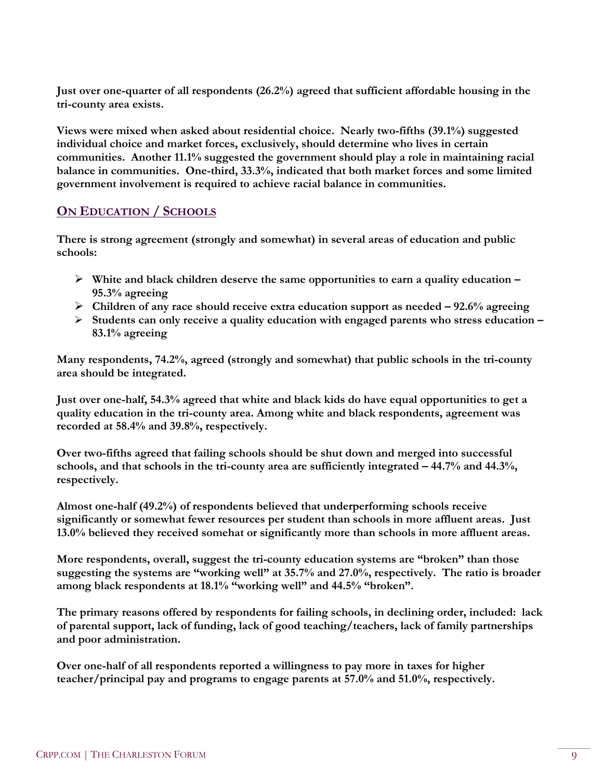**Just over one-quarter of all respondents (26.2%) agreed that sufficient affordable housing in the tri-county area exists.**

**Views were mixed when asked about residential choice. Nearly two-fifths (39.1%) suggested individual choice and market forces, exclusively, should determine who lives in certain communities. Another 11.1% suggested the government should play a role in maintaining racial balance in communities. One-third, 33.3%, indicated that both market forces and some limited government involvement is required to achieve racial balance in communities.** 

### **ON EDUCATION / SCHOOLS**

**There is strong agreement (strongly and somewhat) in several areas of education and public schools:**

- ➢ **White and black children deserve the same opportunities to earn a quality education – 95.3% agreeing**
- ➢ **Children of any race should receive extra education support as needed – 92.6% agreeing**
- ➢ **Students can only receive a quality education with engaged parents who stress education – 83.1% agreeing**

**Many respondents, 74.2%, agreed (strongly and somewhat) that public schools in the tri-county area should be integrated.** 

**Just over one-half, 54.3% agreed that white and black kids do have equal opportunities to get a quality education in the tri-county area. Among white and black respondents, agreement was recorded at 58.4% and 39.8%, respectively.**

**Over two-fifths agreed that failing schools should be shut down and merged into successful schools, and that schools in the tri-county area are sufficiently integrated – 44.7% and 44.3%, respectively.**

**Almost one-half (49.2%) of respondents believed that underperforming schools receive significantly or somewhat fewer resources per student than schools in more affluent areas. Just 13.0% believed they received somehat or significantly more than schools in more affluent areas.** 

**More respondents, overall, suggest the tri-county education systems are "broken" than those suggesting the systems are "working well" at 35.7% and 27.0%, respectively. The ratio is broader among black respondents at 18.1% "working well" and 44.5% "broken".** 

**The primary reasons offered by respondents for failing schools, in declining order, included: lack of parental support, lack of funding, lack of good teaching/teachers, lack of family partnerships and poor administration.**

**Over one-half of all respondents reported a willingness to pay more in taxes for higher teacher/principal pay and programs to engage parents at 57.0% and 51.0%, respectively.**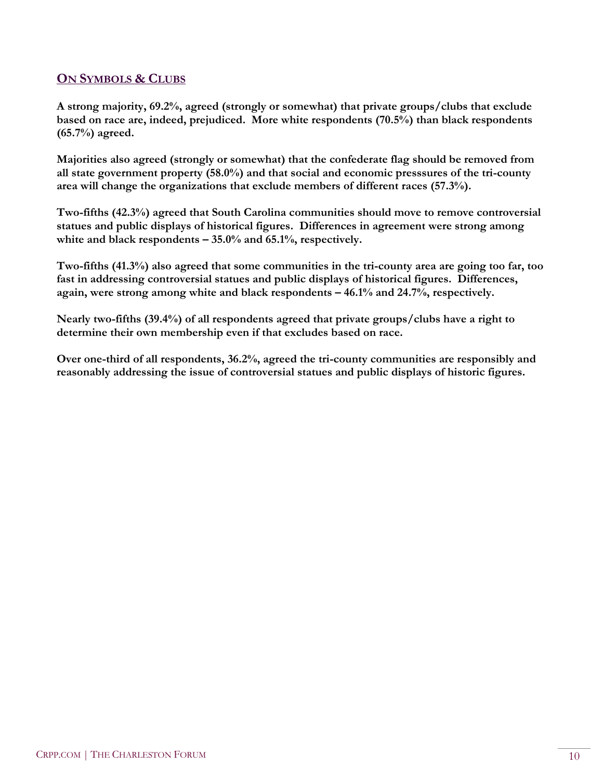### **ON SYMBOLS & CLUBS**

**A strong majority, 69.2%, agreed (strongly or somewhat) that private groups/clubs that exclude based on race are, indeed, prejudiced. More white respondents (70.5%) than black respondents (65.7%) agreed.**

**Majorities also agreed (strongly or somewhat) that the confederate flag should be removed from all state government property (58.0%) and that social and economic presssures of the tri-county area will change the organizations that exclude members of different races (57.3%).**

**Two-fifths (42.3%) agreed that South Carolina communities should move to remove controversial statues and public displays of historical figures. Differences in agreement were strong among white and black respondents – 35.0% and 65.1%, respectively.**

**Two-fifths (41.3%) also agreed that some communities in the tri-county area are going too far, too fast in addressing controversial statues and public displays of historical figures. Differences, again, were strong among white and black respondents – 46.1% and 24.7%, respectively.**

**Nearly two-fifths (39.4%) of all respondents agreed that private groups/clubs have a right to determine their own membership even if that excludes based on race.**

**Over one-third of all respondents, 36.2%, agreed the tri-county communities are responsibly and reasonably addressing the issue of controversial statues and public displays of historic figures.**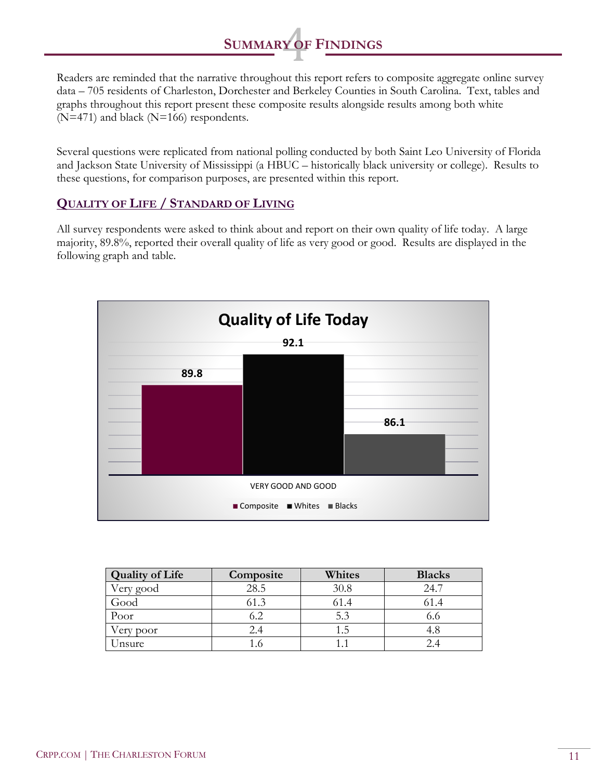## **SUMMARY OF FINDINGS**

Readers are reminded that the narrative throughout this report refers to composite aggregate online survey data – 705 residents of Charleston, Dorchester and Berkeley Counties in South Carolina. Text, tables and graphs throughout this report present these composite results alongside results among both white (N=471) and black (N=166) respondents.

Several questions were replicated from national polling conducted by both Saint Leo University of Florida and Jackson State University of Mississippi (a HBUC – historically black university or college). Results to these questions, for comparison purposes, are presented within this report.

## **QUALITY OF LIFE / STANDARD OF LIVING**

All survey respondents were asked to think about and report on their own quality of life today. A large majority, 89.8%, reported their overall quality of life as very good or good. Results are displayed in the following graph and table.



| <b>Quality of Life</b> | Composite | Whites | <b>Blacks</b> |
|------------------------|-----------|--------|---------------|
| Very good              | 28.5      | 30.8   | 24.7          |
| Good                   | 61.3      |        |               |
| Poor                   | 6.2       | 5.3    | 0.0           |
| 'ery poor              |           |        | 4.8           |
| Jnsure                 |           |        | 2.4           |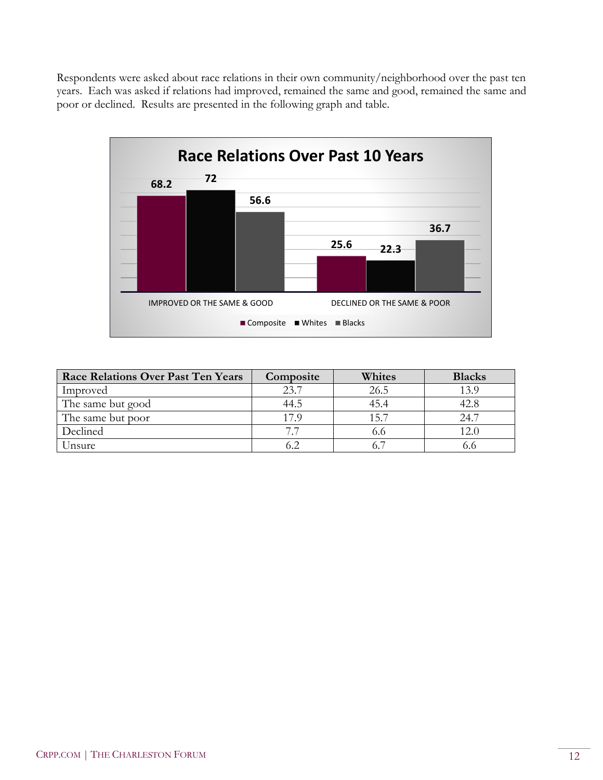Respondents were asked about race relations in their own community/neighborhood over the past ten years. Each was asked if relations had improved, remained the same and good, remained the same and poor or declined. Results are presented in the following graph and table.



| <b>Race Relations Over Past Ten Years</b> | Composite | Whites | <b>Blacks</b> |
|-------------------------------------------|-----------|--------|---------------|
| Improved                                  | 23.7      | 26.5   | 13.9          |
| The same but good                         | 44.5      | 45.4   | 42.8          |
| The same but poor                         | 17.9      | 15.7   | 24.7          |
| Declined                                  | 77        | 0.0    |               |
| Unsure                                    |           |        |               |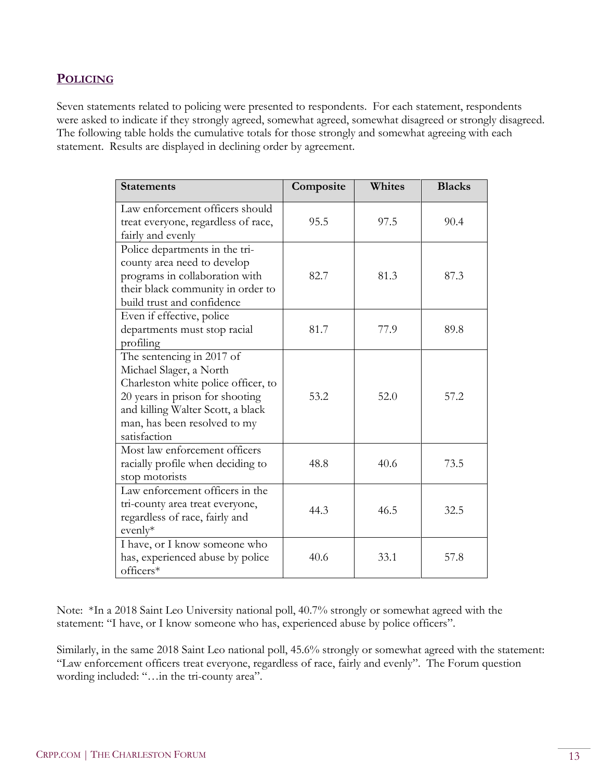#### **POLICING**

Seven statements related to policing were presented to respondents. For each statement, respondents were asked to indicate if they strongly agreed, somewhat agreed, somewhat disagreed or strongly disagreed. The following table holds the cumulative totals for those strongly and somewhat agreeing with each statement. Results are displayed in declining order by agreement.

| <b>Statements</b>                                                                                                                                                                                                   | Composite | Whites | <b>Blacks</b> |
|---------------------------------------------------------------------------------------------------------------------------------------------------------------------------------------------------------------------|-----------|--------|---------------|
| Law enforcement officers should<br>treat everyone, regardless of race,<br>fairly and evenly                                                                                                                         | 95.5      | 97.5   | 90.4          |
| Police departments in the tri-<br>county area need to develop<br>programs in collaboration with<br>their black community in order to<br>build trust and confidence                                                  | 82.7      | 81.3   | 87.3          |
| Even if effective, police<br>departments must stop racial<br>profiling                                                                                                                                              | 81.7      | 77.9   | 89.8          |
| The sentencing in 2017 of<br>Michael Slager, a North<br>Charleston white police officer, to<br>20 years in prison for shooting<br>and killing Walter Scott, a black<br>man, has been resolved to my<br>satisfaction | 53.2      | 52.0   | 57.2          |
| Most law enforcement officers<br>racially profile when deciding to<br>stop motorists                                                                                                                                | 48.8      | 40.6   | 73.5          |
| Law enforcement officers in the<br>tri-county area treat everyone,<br>regardless of race, fairly and<br>evenly*                                                                                                     | 44.3      | 46.5   | 32.5          |
| I have, or I know someone who<br>has, experienced abuse by police<br>officers*                                                                                                                                      | 40.6      | 33.1   | 57.8          |

Note: \*In a 2018 Saint Leo University national poll, 40.7% strongly or somewhat agreed with the statement: "I have, or I know someone who has, experienced abuse by police officers".

Similarly, in the same 2018 Saint Leo national poll, 45.6% strongly or somewhat agreed with the statement: "Law enforcement officers treat everyone, regardless of race, fairly and evenly". The Forum question wording included: "…in the tri-county area".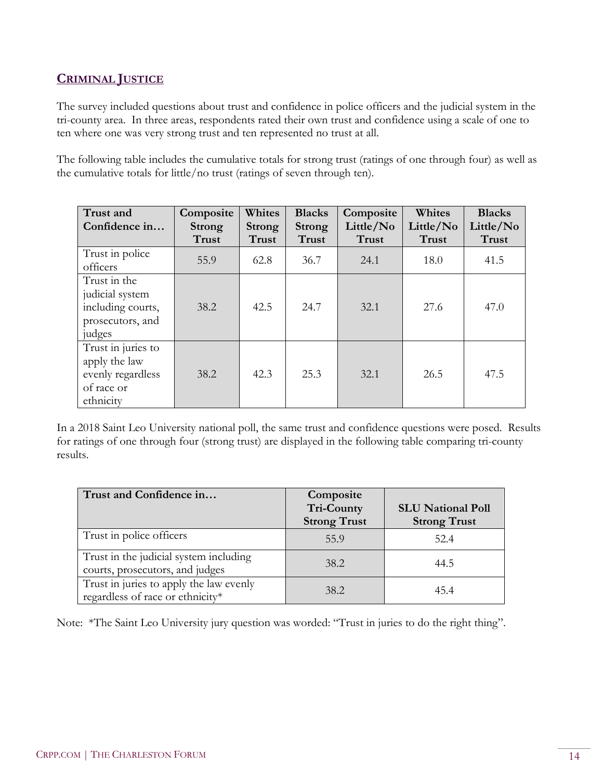## **CRIMINAL JUSTICE**

The survey included questions about trust and confidence in police officers and the judicial system in the tri-county area. In three areas, respondents rated their own trust and confidence using a scale of one to ten where one was very strong trust and ten represented no trust at all.

The following table includes the cumulative totals for strong trust (ratings of one through four) as well as the cumulative totals for little/no trust (ratings of seven through ten).

| Trust and<br>Confidence in                                                          | Composite<br><b>Strong</b><br>Trust | Whites<br>Strong<br><b>Trust</b> | <b>Blacks</b><br><b>Strong</b><br><b>Trust</b> | Composite<br>Little/No<br><b>Trust</b> | Whites<br>Little/No<br>Trust | <b>Blacks</b><br>Little/No<br><b>Trust</b> |
|-------------------------------------------------------------------------------------|-------------------------------------|----------------------------------|------------------------------------------------|----------------------------------------|------------------------------|--------------------------------------------|
| Trust in police<br>officers                                                         | 55.9                                | 62.8                             | 36.7                                           | 24.1                                   | 18.0                         | 41.5                                       |
| Trust in the<br>judicial system<br>including courts,<br>prosecutors, and<br>judges  | 38.2                                | 42.5                             | 24.7                                           | 32.1                                   | 27.6                         | 47.0                                       |
| Trust in juries to<br>apply the law<br>evenly regardless<br>of race or<br>ethnicity | 38.2                                | 42.3                             | 25.3                                           | 32.1                                   | 26.5                         | 47.5                                       |

In a 2018 Saint Leo University national poll, the same trust and confidence questions were posed. Results for ratings of one through four (strong trust) are displayed in the following table comparing tri-county results.

| Trust and Confidence in                                                     | Composite<br>Tri-County<br><b>Strong Trust</b> | <b>SLU National Poll</b><br><b>Strong Trust</b> |
|-----------------------------------------------------------------------------|------------------------------------------------|-------------------------------------------------|
| Trust in police officers                                                    | 55.9                                           | 52.4                                            |
| Trust in the judicial system including<br>courts, prosecutors, and judges   | 38.2                                           | 44.5                                            |
| Trust in juries to apply the law evenly<br>regardless of race or ethnicity* | 38.2                                           | 45.4                                            |

Note: \*The Saint Leo University jury question was worded: "Trust in juries to do the right thing".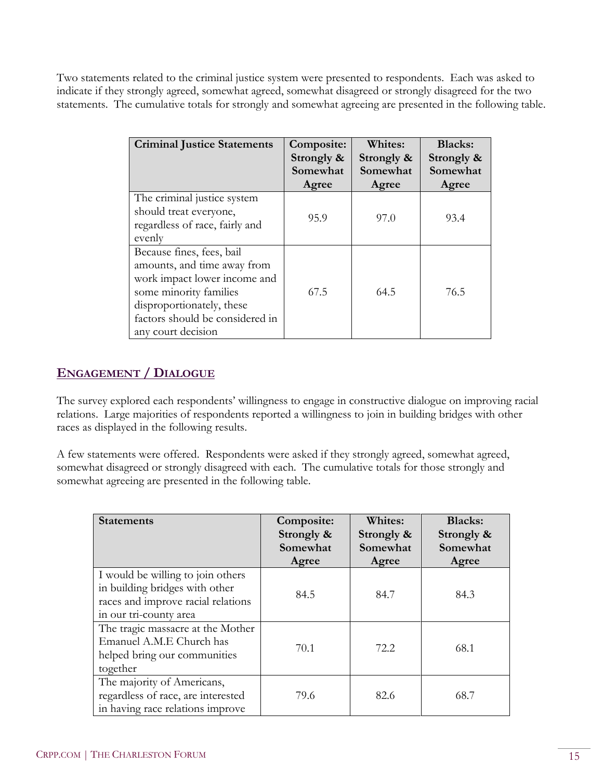Two statements related to the criminal justice system were presented to respondents. Each was asked to indicate if they strongly agreed, somewhat agreed, somewhat disagreed or strongly disagreed for the two statements. The cumulative totals for strongly and somewhat agreeing are presented in the following table.

| <b>Criminal Justice Statements</b>                                                                                                                                                                       | Composite:<br>Strongly &<br>Somewhat<br>Agree | Whites:<br>Strongly &<br>Somewhat<br>Agree | <b>Blacks:</b><br>Strongly &<br>Somewhat<br>Agree |
|----------------------------------------------------------------------------------------------------------------------------------------------------------------------------------------------------------|-----------------------------------------------|--------------------------------------------|---------------------------------------------------|
| The criminal justice system<br>should treat everyone,<br>regardless of race, fairly and<br>evenly                                                                                                        | 95.9                                          | 97.0                                       | 93.4                                              |
| Because fines, fees, bail<br>amounts, and time away from<br>work impact lower income and<br>some minority families<br>disproportionately, these<br>factors should be considered in<br>any court decision | 67.5                                          | 64.5                                       | 76.5                                              |

## **ENGAGEMENT / DIALOGUE**

The survey explored each respondents' willingness to engage in constructive dialogue on improving racial relations. Large majorities of respondents reported a willingness to join in building bridges with other races as displayed in the following results.

A few statements were offered. Respondents were asked if they strongly agreed, somewhat agreed, somewhat disagreed or strongly disagreed with each. The cumulative totals for those strongly and somewhat agreeing are presented in the following table.

| <b>Statements</b>                                                                                                                   | Composite:<br>Strongly &<br>Somewhat<br>Agree | Whites:<br>Strongly &<br>Somewhat<br>Agree | <b>Blacks:</b><br>Strongly &<br>Somewhat<br>Agree |
|-------------------------------------------------------------------------------------------------------------------------------------|-----------------------------------------------|--------------------------------------------|---------------------------------------------------|
| I would be willing to join others<br>in building bridges with other<br>races and improve racial relations<br>in our tri-county area | 84.5                                          | 84.7                                       | 84.3                                              |
| The tragic massacre at the Mother<br>Emanuel A.M.E Church has<br>helped bring our communities<br>together                           | 70.1                                          | 72.2                                       | 68.1                                              |
| The majority of Americans,<br>regardless of race, are interested<br>in having race relations improve                                | 79.6                                          | 82.6                                       | 68.7                                              |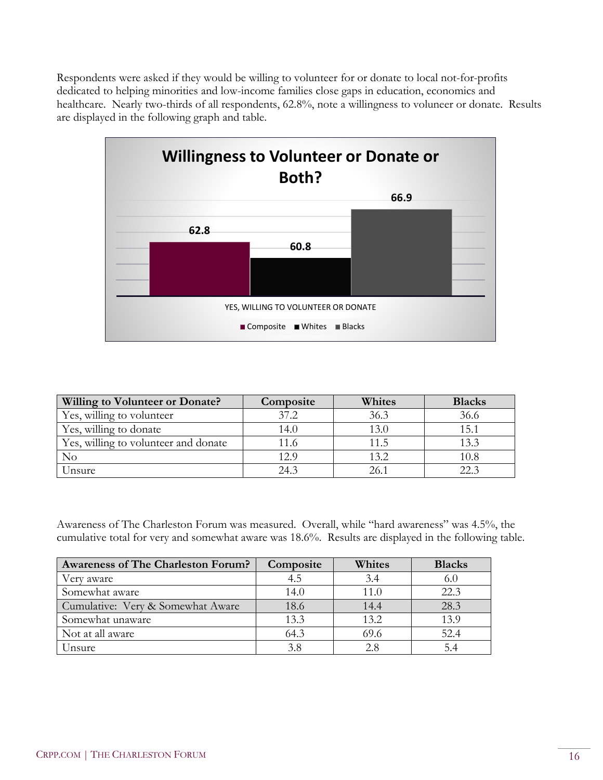Respondents were asked if they would be willing to volunteer for or donate to local not-for-profits dedicated to helping minorities and low-income families close gaps in education, economics and healthcare. Nearly two-thirds of all respondents, 62.8%, note a willingness to voluneer or donate. Results are displayed in the following graph and table.



| Willing to Volunteer or Donate?      | Composite | Whites | <b>Blacks</b> |
|--------------------------------------|-----------|--------|---------------|
| Yes, willing to volunteer            | 37.2      | 36.3   | 36.6          |
| Yes, willing to donate               | 14.0      | 13.0   | 15.1          |
| Yes, willing to volunteer and donate | 11.6      | 11.5   | 13.3          |
| $\rm No$                             | 12.9      | 13.2   | 10.8          |
| Unsure                               | 243       | 26.1   | 22.4          |

Awareness of The Charleston Forum was measured. Overall, while "hard awareness" was 4.5%, the cumulative total for very and somewhat aware was 18.6%. Results are displayed in the following table.

| <b>Awareness of The Charleston Forum?</b> | Composite | Whites | <b>Blacks</b> |
|-------------------------------------------|-----------|--------|---------------|
| Very aware                                | 4.5       | 3.4    | 6.0           |
| Somewhat aware                            | 14.0      | 11.0   | 22.3          |
| Cumulative: Very & Somewhat Aware         | 18.6      | 14.4   | 28.3          |
| Somewhat unaware                          | 13.3      | 13.2   | 13.9          |
| Not at all aware                          | 64.3      | 69.6   | 52.4          |
| Unsure                                    | 3.8       | 2.8    | 5.4           |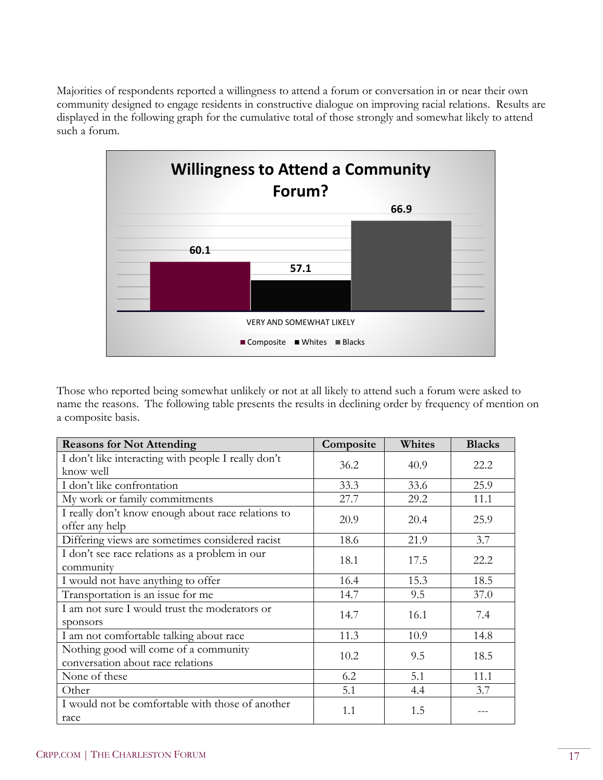Majorities of respondents reported a willingness to attend a forum or conversation in or near their own community designed to engage residents in constructive dialogue on improving racial relations. Results are displayed in the following graph for the cumulative total of those strongly and somewhat likely to attend such a forum.



Those who reported being somewhat unlikely or not at all likely to attend such a forum were asked to name the reasons. The following table presents the results in declining order by frequency of mention on a composite basis.

| <b>Reasons for Not Attending</b>                                           | Composite | Whites | <b>Blacks</b> |
|----------------------------------------------------------------------------|-----------|--------|---------------|
| I don't like interacting with people I really don't<br>know well           | 36.2      | 40.9   | 22.2          |
| I don't like confrontation                                                 | 33.3      | 33.6   | 25.9          |
| My work or family commitments                                              | 27.7      | 29.2   | 11.1          |
| I really don't know enough about race relations to<br>offer any help       | 20.9      | 20.4   | 25.9          |
| Differing views are sometimes considered racist                            | 18.6      | 21.9   | 3.7           |
| I don't see race relations as a problem in our<br>community                | 18.1      | 17.5   | 22.2          |
| I would not have anything to offer                                         | 16.4      | 15.3   | 18.5          |
| Transportation is an issue for me                                          | 14.7      | 9.5    | 37.0          |
| I am not sure I would trust the moderators or<br>sponsors                  | 14.7      | 16.1   | 7.4           |
| I am not comfortable talking about race                                    | 11.3      | 10.9   | 14.8          |
| Nothing good will come of a community<br>conversation about race relations | 10.2      | 9.5    | 18.5          |
| None of these                                                              | 6.2       | 5.1    | 11.1          |
| Other                                                                      | 5.1       | 4.4    | 3.7           |
| I would not be comfortable with those of another<br>race                   | 1.1       | 1.5    |               |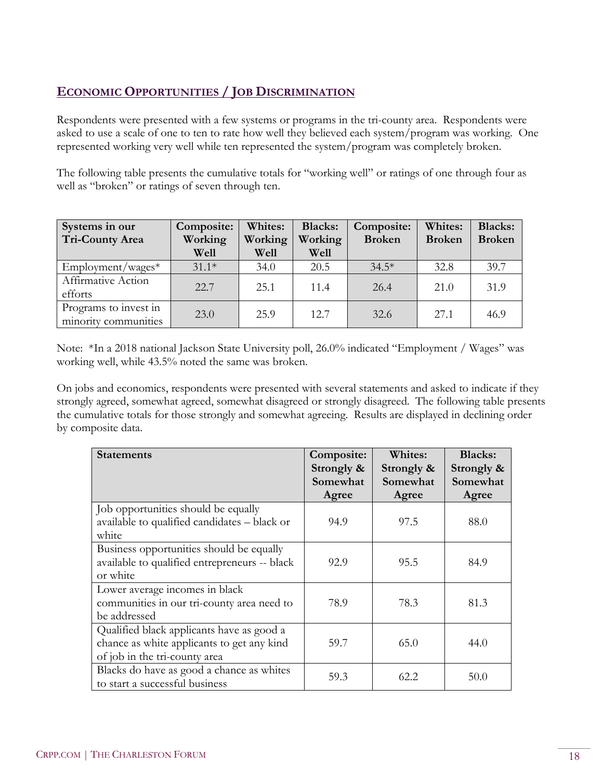## **ECONOMIC OPPORTUNITIES / JOB DISCRIMINATION**

Respondents were presented with a few systems or programs in the tri-county area. Respondents were asked to use a scale of one to ten to rate how well they believed each system/program was working. One represented working very well while ten represented the system/program was completely broken.

The following table presents the cumulative totals for "working well" or ratings of one through four as well as "broken" or ratings of seven through ten.

| Systems in our<br><b>Tri-County Area</b>      | Composite:<br>Working<br>Well | Whites:<br>Working<br>Well | <b>Blacks:</b><br>Working<br>Well | Composite:<br><b>Broken</b> | Whites:<br><b>Broken</b> | <b>Blacks:</b><br><b>Broken</b> |
|-----------------------------------------------|-------------------------------|----------------------------|-----------------------------------|-----------------------------|--------------------------|---------------------------------|
| $Employment/wages*$                           | $31.1*$                       | 34.0                       | 20.5                              | $34.5*$                     | 32.8                     | 39.7                            |
| Affirmative Action<br>efforts                 | 22.7                          | 25.1                       | 11.4                              | 26.4                        | 21.0                     | 31.9                            |
| Programs to invest in<br>minority communities | 23.0                          | 25.9                       | 12.7                              | 32.6                        | 27.1                     | 46.9                            |

Note: \*In a 2018 national Jackson State University poll, 26.0% indicated "Employment / Wages" was working well, while 43.5% noted the same was broken.

On jobs and economics, respondents were presented with several statements and asked to indicate if they strongly agreed, somewhat agreed, somewhat disagreed or strongly disagreed. The following table presents the cumulative totals for those strongly and somewhat agreeing. Results are displayed in declining order by composite data.

| <b>Statements</b>                                                                                                        | Composite:<br>Strongly &<br>Somewhat | Whites:<br>Strongly &<br>Somewhat | <b>Blacks:</b><br>Strongly &<br>Somewhat |
|--------------------------------------------------------------------------------------------------------------------------|--------------------------------------|-----------------------------------|------------------------------------------|
| Job opportunities should be equally                                                                                      | Agree                                | Agree                             | Agree                                    |
| available to qualified candidates - black or<br>white                                                                    | 94.9                                 | 97.5                              | 88.0                                     |
| Business opportunities should be equally<br>available to qualified entrepreneurs -- black<br>or white                    | 92.9                                 | 95.5                              | 84.9                                     |
| Lower average incomes in black<br>communities in our tri-county area need to<br>be addressed                             | 78.9                                 | 78.3                              | 81.3                                     |
| Qualified black applicants have as good a<br>chance as white applicants to get any kind<br>of job in the tri-county area | 59.7                                 | 65.0                              | 44.0                                     |
| Blacks do have as good a chance as whites<br>to start a successful business                                              | 59.3                                 | 62.2                              | 50.0                                     |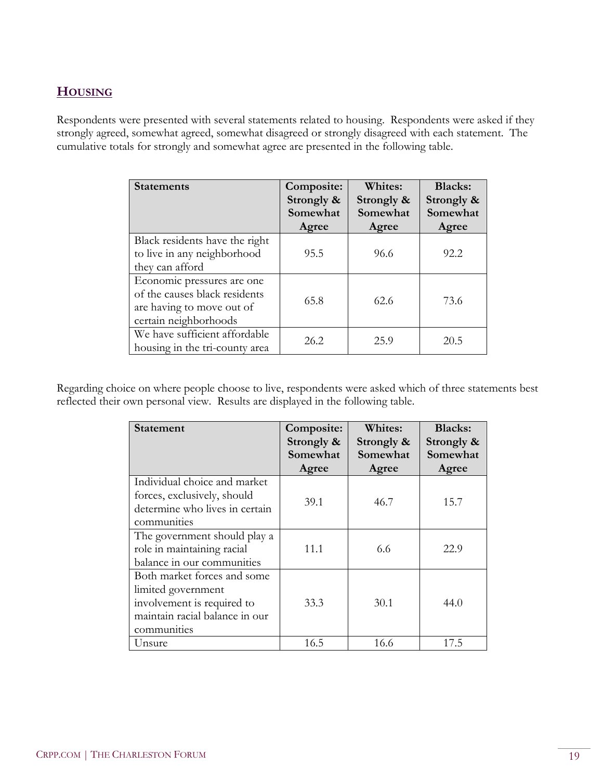## **HOUSING**

Respondents were presented with several statements related to housing. Respondents were asked if they strongly agreed, somewhat agreed, somewhat disagreed or strongly disagreed with each statement. The cumulative totals for strongly and somewhat agree are presented in the following table.

| <b>Statements</b>                                                                                                 | Composite:<br>Strongly &<br>Somewhat<br>Agree | Whites:<br>Strongly &<br>Somewhat<br>Agree | <b>Blacks:</b><br>Strongly &<br>Somewhat<br>Agree |
|-------------------------------------------------------------------------------------------------------------------|-----------------------------------------------|--------------------------------------------|---------------------------------------------------|
| Black residents have the right<br>to live in any neighborhood<br>they can afford                                  | 95.5                                          | 96.6                                       | 92.2                                              |
| Economic pressures are one<br>of the causes black residents<br>are having to move out of<br>certain neighborhoods | 65.8                                          | 62.6                                       | 73.6                                              |
| We have sufficient affordable<br>housing in the tri-county area                                                   | 26.2                                          | 25.9                                       | 20.5                                              |

Regarding choice on where people choose to live, respondents were asked which of three statements best reflected their own personal view. Results are displayed in the following table.

| Statement                                                                                                                        | Composite:<br>Strongly &<br>Somewhat<br>Agree | <b>Whites:</b><br>Strongly &<br>Somewhat<br>Agree | <b>Blacks:</b><br>Strongly &<br>Somewhat<br>Agree |
|----------------------------------------------------------------------------------------------------------------------------------|-----------------------------------------------|---------------------------------------------------|---------------------------------------------------|
| Individual choice and market<br>forces, exclusively, should<br>determine who lives in certain<br>communities                     | 39.1                                          | 46.7                                              | 15.7                                              |
| The government should play a<br>role in maintaining racial<br>balance in our communities                                         | 11.1                                          | 6.6                                               | 22.9                                              |
| Both market forces and some<br>limited government<br>involvement is required to<br>maintain racial balance in our<br>communities | 33.3                                          | 30.1                                              | 44.0                                              |
| Unsure                                                                                                                           | 16.5                                          | 16.6                                              | 17.5                                              |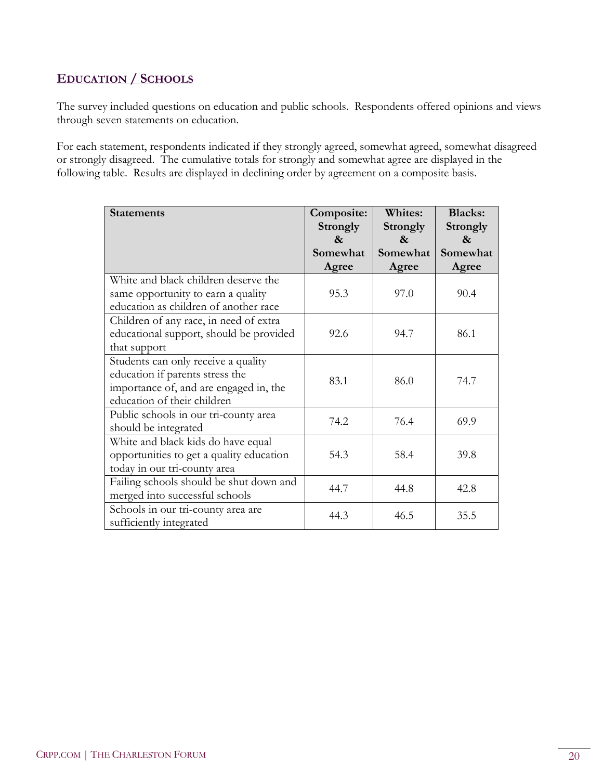## **EDUCATION / SCHOOLS**

The survey included questions on education and public schools. Respondents offered opinions and views through seven statements on education.

For each statement, respondents indicated if they strongly agreed, somewhat agreed, somewhat disagreed or strongly disagreed. The cumulative totals for strongly and somewhat agree are displayed in the following table. Results are displayed in declining order by agreement on a composite basis.

| <b>Statements</b>                                                                                                                               | Composite:<br>Strongly<br>$\mathbf{\alpha}$ | <b>Whites:</b><br><b>Strongly</b><br>& | <b>Blacks:</b><br><b>Strongly</b><br>$\&$ |
|-------------------------------------------------------------------------------------------------------------------------------------------------|---------------------------------------------|----------------------------------------|-------------------------------------------|
|                                                                                                                                                 | Somewhat<br>Agree                           | Somewhat<br>Agree                      | Somewhat<br>Agree                         |
| White and black children deserve the<br>same opportunity to earn a quality<br>education as children of another race                             | 95.3                                        | 97.0                                   | 90.4                                      |
| Children of any race, in need of extra<br>educational support, should be provided<br>that support                                               | 92.6                                        | 94.7                                   | 86.1                                      |
| Students can only receive a quality<br>education if parents stress the<br>importance of, and are engaged in, the<br>education of their children | 83.1                                        | 86.0                                   | 74.7                                      |
| Public schools in our tri-county area<br>should be integrated                                                                                   | 74.2                                        | 76.4                                   | 69.9                                      |
| White and black kids do have equal<br>opportunities to get a quality education<br>today in our tri-county area                                  | 54.3                                        | 58.4                                   | 39.8                                      |
| Failing schools should be shut down and<br>merged into successful schools                                                                       | 44.7                                        | 44.8                                   | 42.8                                      |
| Schools in our tri-county area are<br>sufficiently integrated                                                                                   | 44.3                                        | 46.5                                   | 35.5                                      |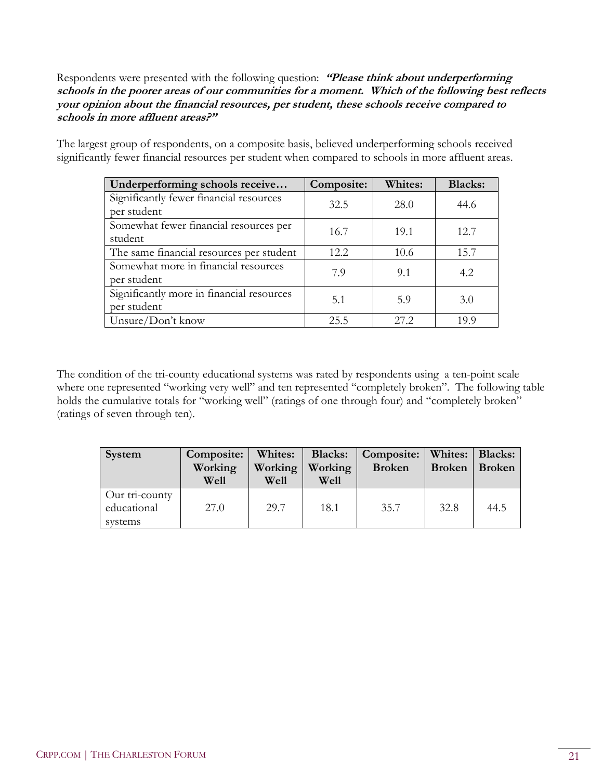Respondents were presented with the following question: **"Please think about underperforming schools in the poorer areas of our communities for a moment. Which of the following best reflects your opinion about the financial resources, per student, these schools receive compared to schools in more affluent areas?"**

The largest group of respondents, on a composite basis, believed underperforming schools received significantly fewer financial resources per student when compared to schools in more affluent areas.

| Underperforming schools receive           | Composite: | <b>Whites:</b> | <b>Blacks:</b> |
|-------------------------------------------|------------|----------------|----------------|
| Significantly fewer financial resources   | 32.5       | 28.0           | 44.6           |
| per student                               |            |                |                |
| Somewhat fewer financial resources per    | 16.7       | 19.1           | 12.7           |
| student                                   |            |                |                |
| The same financial resources per student  | 12.2.      | 10.6           | 15.7           |
| Somewhat more in financial resources      | 7.9        | 9.1            | 4.2            |
| per student                               |            |                |                |
| Significantly more in financial resources | 5.1        | 5.9            | 3.0            |
| per student                               |            |                |                |
| Unsure/Don't know                         | 25.5       | 27.2           | 199            |

The condition of the tri-county educational systems was rated by respondents using a ten-point scale where one represented "working very well" and ten represented "completely broken". The following table holds the cumulative totals for "working well" (ratings of one through four) and "completely broken" (ratings of seven through ten).

| System                                   | Composite:<br>Working<br>Well | Whites:<br>Working<br>Well | <b>Blacks:</b><br>Working<br>Well | Composite:<br><b>Broken</b> | Whites:   Blacks:<br><b>Broken</b> | Broken |
|------------------------------------------|-------------------------------|----------------------------|-----------------------------------|-----------------------------|------------------------------------|--------|
| Our tri-county<br>educational<br>systems | 27.0                          | 29.7                       | 18.1                              | 35.7                        | 32.8                               | 44.5   |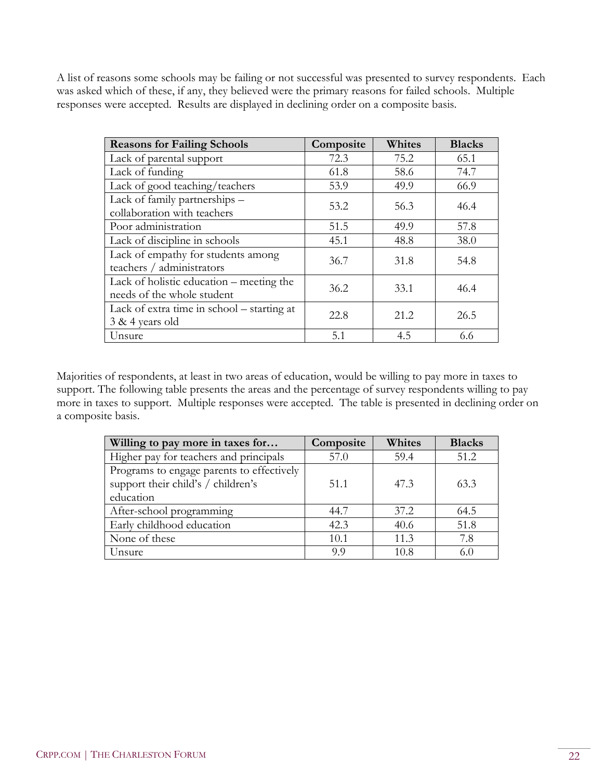A list of reasons some schools may be failing or not successful was presented to survey respondents. Each was asked which of these, if any, they believed were the primary reasons for failed schools. Multiple responses were accepted. Results are displayed in declining order on a composite basis.

| <b>Reasons for Failing Schools</b>                                     | Composite | Whites | <b>Blacks</b> |
|------------------------------------------------------------------------|-----------|--------|---------------|
| Lack of parental support                                               | 72.3      | 75.2   | 65.1          |
| Lack of funding                                                        | 61.8      | 58.6   | 74.7          |
| Lack of good teaching/teachers                                         | 53.9      | 49.9   | 66.9          |
| Lack of family partnerships -<br>collaboration with teachers           | 53.2      | 56.3   | 46.4          |
| Poor administration                                                    | 51.5      | 49.9   | 57.8          |
| Lack of discipline in schools                                          | 45.1      | 48.8   | 38.0          |
| Lack of empathy for students among<br>teachers / administrators        | 36.7      | 31.8   | 54.8          |
| Lack of holistic education – meeting the<br>needs of the whole student | 36.2      | 33.1   | 46.4          |
| Lack of extra time in school – starting at<br>$3 & 4$ years old        | 22.8      | 21.2   | 26.5          |
| Unsure                                                                 | 5.1       | 4.5    | 6.6           |

Majorities of respondents, at least in two areas of education, would be willing to pay more in taxes to support. The following table presents the areas and the percentage of survey respondents willing to pay more in taxes to support. Multiple responses were accepted. The table is presented in declining order on a composite basis.

| Willing to pay more in taxes for          | Composite | Whites | <b>Blacks</b> |
|-------------------------------------------|-----------|--------|---------------|
| Higher pay for teachers and principals    | 57.0      | 59.4   | 51.2          |
| Programs to engage parents to effectively |           |        |               |
| support their child's / children's        | 51.1      | 47.3   | 63.3          |
| education                                 |           |        |               |
| After-school programming                  | 44.7      | 37.2   | 64.5          |
| Early childhood education                 | 42.3      | 40.6   | 51.8          |
| None of these                             | 10.1      | 11.3   | 7.8           |
| Unsure                                    | 9.9       | 10.8   | 6.0           |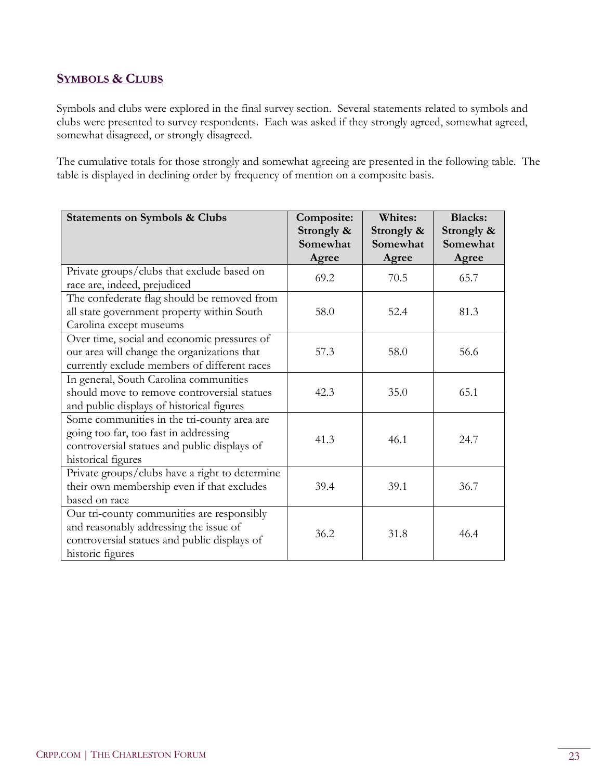#### **SYMBOLS & CLUBS**

Symbols and clubs were explored in the final survey section. Several statements related to symbols and clubs were presented to survey respondents. Each was asked if they strongly agreed, somewhat agreed, somewhat disagreed, or strongly disagreed.

The cumulative totals for those strongly and somewhat agreeing are presented in the following table. The table is displayed in declining order by frequency of mention on a composite basis.

| <b>Statements on Symbols &amp; Clubs</b>                                                                                                                   | Composite:<br>Strongly &<br>Somewhat<br>Agree | Whites:<br>Strongly &<br>Somewhat<br>Agree | <b>Blacks:</b><br>Strongly &<br>Somewhat<br>Agree |
|------------------------------------------------------------------------------------------------------------------------------------------------------------|-----------------------------------------------|--------------------------------------------|---------------------------------------------------|
| Private groups/clubs that exclude based on<br>race are, indeed, prejudiced                                                                                 | 69.2                                          | 70.5                                       | 65.7                                              |
| The confederate flag should be removed from<br>all state government property within South<br>Carolina except museums                                       | 58.0                                          | 52.4                                       | 81.3                                              |
| Over time, social and economic pressures of<br>our area will change the organizations that<br>currently exclude members of different races                 | 57.3                                          | 58.0                                       | 56.6                                              |
| In general, South Carolina communities<br>should move to remove controversial statues<br>and public displays of historical figures                         | 42.3                                          | 35.0                                       | 65.1                                              |
| Some communities in the tri-county area are<br>going too far, too fast in addressing<br>controversial statues and public displays of<br>historical figures | 41.3                                          | 46.1                                       | 24.7                                              |
| Private groups/clubs have a right to determine<br>their own membership even if that excludes<br>based on race                                              | 39.4                                          | 39.1                                       | 36.7                                              |
| Our tri-county communities are responsibly<br>and reasonably addressing the issue of<br>controversial statues and public displays of<br>historic figures   | 36.2                                          | 31.8                                       | 46.4                                              |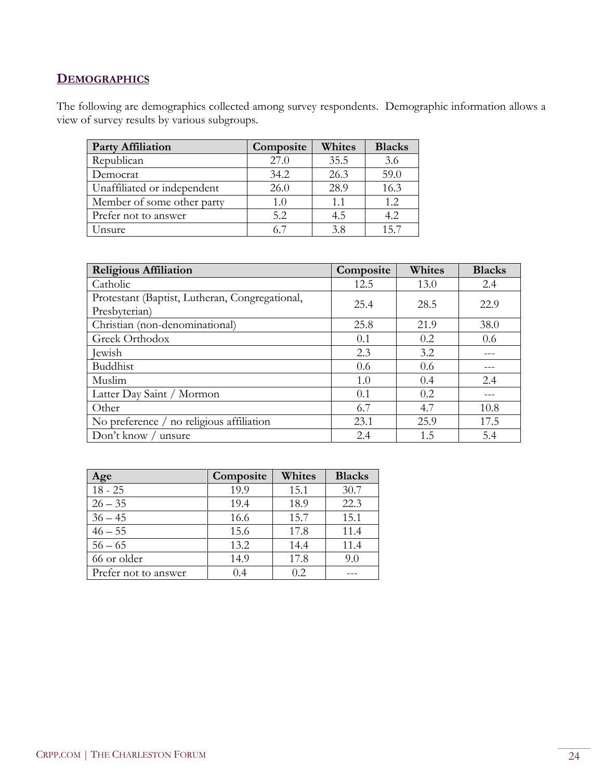## **DEMOGRAPHICS**

The following are demographics collected among survey respondents. Demographic information allows a view of survey results by various subgroups.

| <b>Party Affiliation</b>    | Composite | Whites | <b>Blacks</b> |
|-----------------------------|-----------|--------|---------------|
| Republican                  | 27.0      | 35.5   | 3.6           |
| Democrat                    | 34.2      | 26.3   | 59.0          |
| Unaffiliated or independent | 26.0      | 28.9   | 16.3          |
| Member of some other party  | 1.0       | 1.1    | 1.2           |
| Prefer not to answer        | 5.2       | 4.5    | 4.2           |
| Unsure                      |           | 3.8    | 157           |

| <b>Religious Affiliation</b>                                    | Composite | Whites | <b>Blacks</b> |
|-----------------------------------------------------------------|-----------|--------|---------------|
| Catholic                                                        | 12.5      | 13.0   | 2.4           |
| Protestant (Baptist, Lutheran, Congregational,<br>Presbyterian) | 25.4      | 28.5   | 22.9          |
| Christian (non-denominational)                                  | 25.8      | 21.9   | 38.0          |
| Greek Orthodox                                                  | 0.1       | 0.2    | 0.6           |
| Jewish                                                          | 2.3       | 3.2    |               |
| Buddhist                                                        | 0.6       | 0.6    |               |
| Muslim                                                          | 1.0       | 0.4    | 2.4           |
| Latter Day Saint / Mormon                                       | 0.1       | 0.2    |               |
| Other                                                           | 6.7       | 4.7    | 10.8          |
| No preference / no religious affiliation                        | 23.1      | 25.9   | 17.5          |
| Don't know / unsure                                             | 2.4       | 1.5    | 5.4           |

| ge                   | Composite | Whites | <b>Blacks</b> |
|----------------------|-----------|--------|---------------|
| $18 - 25$            | 19.9      | 15.1   | 30.7          |
| $26 - 35$            | 19.4      | 18.9   | 22.3          |
| $36 - 45$            | 16.6      | 15.7   | 15.1          |
| $46 - 55$            | 15.6      | 17.8   | 11.4          |
| $56 - 65$            | 13.2      | 14.4   | 11.4          |
| 66 or older          | 14.9      | 17.8   | 9.0           |
| Prefer not to answer | 0.4       | 02     |               |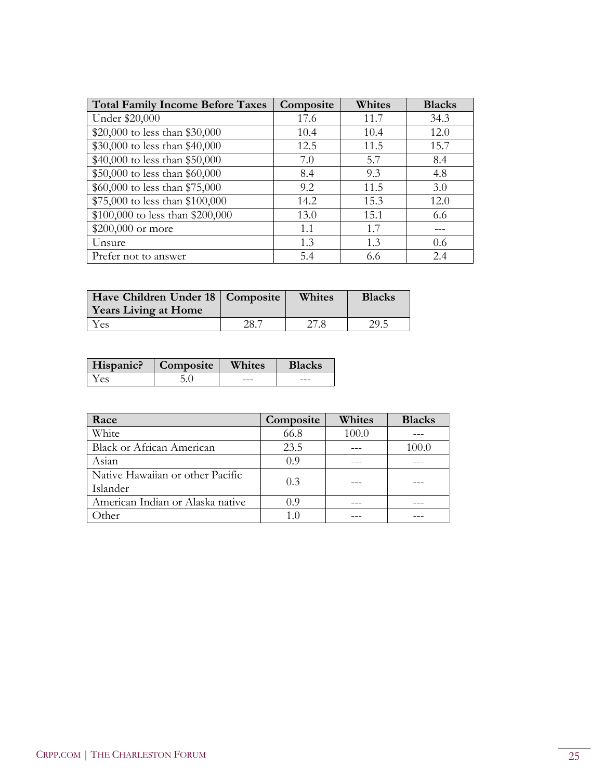| <b>Total Family Income Before Taxes</b> | Composite | Whites | <b>Blacks</b> |
|-----------------------------------------|-----------|--------|---------------|
| Under \$20,000                          | 17.6      | 11.7   | 34.3          |
| \$20,000 to less than \$30,000          | 10.4      | 10.4   | 12.0          |
| \$30,000 to less than \$40,000          | 12.5      | 11.5   | 15.7          |
| \$40,000 to less than \$50,000          | 7.0       | 5.7    | 8.4           |
| \$50,000 to less than \$60,000          | 8.4       | 9.3    | 4.8           |
| \$60,000 to less than \$75,000          | 9.2       | 11.5   | 3.0           |
| \$75,000 to less than \$100,000         | 14.2      | 15.3   | 12.0          |
| \$100,000 to less than \$200,000        | 13.0      | 15.1   | 6.6           |
| \$200,000 or more                       | 1.1       | 1.7    |               |
| Unsure                                  | 1.3       | 1.3    | 0.6           |
| Prefer not to answer                    | 5.4       | 6.6    | 2.4           |

| Have Children Under 18   Composite<br>Years Living at Home |     | Whites | <b>Blacks</b> |
|------------------------------------------------------------|-----|--------|---------------|
| Yes                                                        | 28. | 27.8   | 29.5          |

| Hispanic? | Composite | <b>Whites</b> | <b>Blacks</b> |
|-----------|-----------|---------------|---------------|
| es (      |           |               | ---           |

| Race                             | Composite | Whites | <b>Blacks</b> |
|----------------------------------|-----------|--------|---------------|
| White                            | 66.8      | 100.0  |               |
| <b>Black or African American</b> | 23.5      |        | 100.0         |
| Asian                            | 0.9       |        |               |
| Native Hawaiian or other Pacific | 0.3       |        |               |
| Islander                         |           |        |               |
| American Indian or Alaska native | 09        |        |               |
| ther                             | 10        |        |               |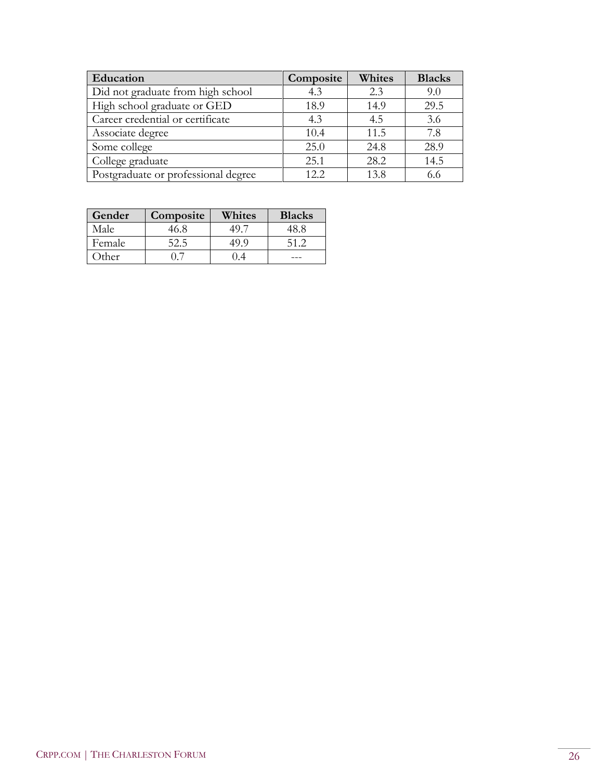| Education                           | Composite | Whites | <b>Blacks</b> |
|-------------------------------------|-----------|--------|---------------|
| Did not graduate from high school   | 4.3       | 2.3    | 9.0           |
| High school graduate or GED         | 18.9      | 14.9   | 29.5          |
| Career credential or certificate    | 4.3       | 4.5    | 3.6           |
| Associate degree                    | 10.4      | 11.5   | 7.8           |
| Some college                        | 25.0      | 24.8   | 28.9          |
| College graduate                    | 25.1      | 28.2   | 14.5          |
| Postgraduate or professional degree | 12.2      | 13.8   | 6.6           |

| Gender | Composite | Whites | <b>Blacks</b> |
|--------|-----------|--------|---------------|
| Male   |           |        | 48 S          |
| Female |           |        | 512           |
| )ther  |           |        |               |